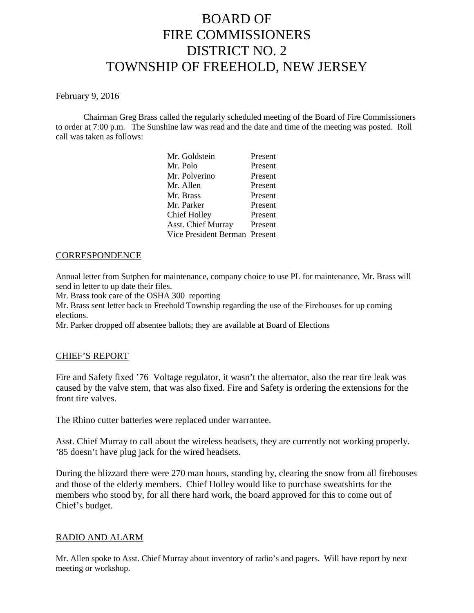# BOARD OF FIRE COMMISSIONERS DISTRICT NO. 2 TOWNSHIP OF FREEHOLD, NEW JERSEY

### February 9, 2016

Chairman Greg Brass called the regularly scheduled meeting of the Board of Fire Commissioners to order at 7:00 p.m. The Sunshine law was read and the date and time of the meeting was posted. Roll call was taken as follows:

| Mr. Goldstein                 | Present |
|-------------------------------|---------|
| Mr. Polo                      | Present |
| Mr. Polverino                 | Present |
| Mr. Allen                     | Present |
| Mr. Brass                     | Present |
| Mr. Parker                    | Present |
| Chief Holley                  | Present |
| <b>Asst. Chief Murray</b>     | Present |
| Vice President Berman Present |         |
|                               |         |

## **CORRESPONDENCE**

Annual letter from Sutphen for maintenance, company choice to use PL for maintenance, Mr. Brass will send in letter to up date their files.

Mr. Brass took care of the OSHA 300 reporting

Mr. Brass sent letter back to Freehold Township regarding the use of the Firehouses for up coming elections.

Mr. Parker dropped off absentee ballots; they are available at Board of Elections

#### CHIEF'S REPORT

Fire and Safety fixed '76 Voltage regulator, it wasn't the alternator, also the rear tire leak was caused by the valve stem, that was also fixed. Fire and Safety is ordering the extensions for the front tire valves.

The Rhino cutter batteries were replaced under warrantee.

Asst. Chief Murray to call about the wireless headsets, they are currently not working properly. '85 doesn't have plug jack for the wired headsets.

During the blizzard there were 270 man hours, standing by, clearing the snow from all firehouses and those of the elderly members. Chief Holley would like to purchase sweatshirts for the members who stood by, for all there hard work, the board approved for this to come out of Chief's budget.

## RADIO AND ALARM

Mr. Allen spoke to Asst. Chief Murray about inventory of radio's and pagers. Will have report by next meeting or workshop.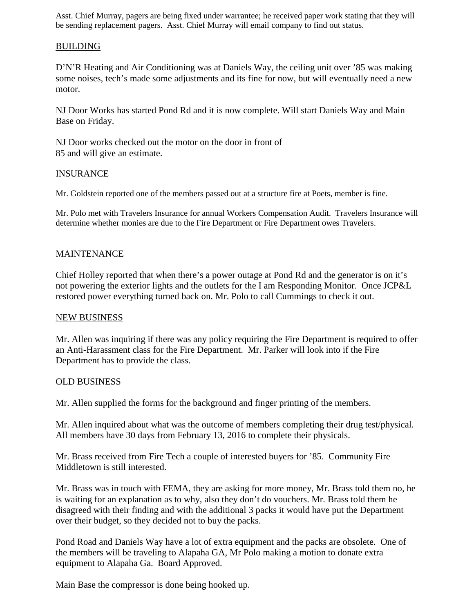Asst. Chief Murray, pagers are being fixed under warrantee; he received paper work stating that they will be sending replacement pagers. Asst. Chief Murray will email company to find out status.

# **BUILDING**

D'N'R Heating and Air Conditioning was at Daniels Way, the ceiling unit over '85 was making some noises, tech's made some adjustments and its fine for now, but will eventually need a new motor.

NJ Door Works has started Pond Rd and it is now complete. Will start Daniels Way and Main Base on Friday.

NJ Door works checked out the motor on the door in front of 85 and will give an estimate.

# **INSURANCE**

Mr. Goldstein reported one of the members passed out at a structure fire at Poets, member is fine.

Mr. Polo met with Travelers Insurance for annual Workers Compensation Audit. Travelers Insurance will determine whether monies are due to the Fire Department or Fire Department owes Travelers.

## MAINTENANCE

Chief Holley reported that when there's a power outage at Pond Rd and the generator is on it's not powering the exterior lights and the outlets for the I am Responding Monitor. Once JCP&L restored power everything turned back on. Mr. Polo to call Cummings to check it out.

## NEW BUSINESS

Mr. Allen was inquiring if there was any policy requiring the Fire Department is required to offer an Anti-Harassment class for the Fire Department. Mr. Parker will look into if the Fire Department has to provide the class.

#### OLD BUSINESS

Mr. Allen supplied the forms for the background and finger printing of the members.

Mr. Allen inquired about what was the outcome of members completing their drug test/physical. All members have 30 days from February 13, 2016 to complete their physicals.

Mr. Brass received from Fire Tech a couple of interested buyers for '85. Community Fire Middletown is still interested.

Mr. Brass was in touch with FEMA, they are asking for more money, Mr. Brass told them no, he is waiting for an explanation as to why, also they don't do vouchers. Mr. Brass told them he disagreed with their finding and with the additional 3 packs itwould have put the Department over their budget, so they decided not to buy the packs.

Pond Road and Daniels Way have a lot of extra equipment and the packs are obsolete. One of the members will be traveling to Alapaha GA, Mr Polo making a motion to donate extra equipment to Alapaha Ga. Board Approved.

Main Base the compressor is done being hooked up.